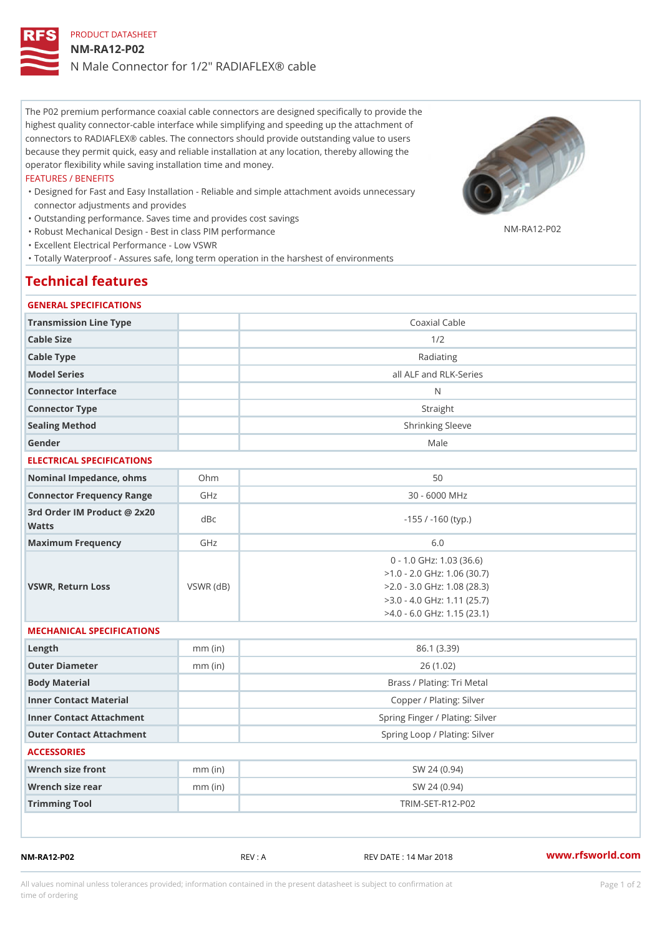# PRODUCT DATASHEET NM-RA12-P02 N Male Connector for 1/2" RADIAFLEX® cable

The P02 premium performance coaxial cable connectors are designed specifically to provide the highest quality connector-cable interface while simplifying and speeding up the attachment of connectors to RADIAFLEX® cables. The connectors should provide outstanding value to users because they permit quick, easy and reliable installation at any location, thereby allowing the operator flexibility while saving installation time and money.

#### FEATURES / BENEFITS

- Designed for Fast and Easy Installation Reliable and simple attachment avoids unnecessary " connector adjustments and provides
- "Outstanding performance. Saves time and provides cost savings
- "Robust Mechanical Design Best in class PIM performance
- "Excellent Electrical Performance Low VSWR
- "Totally Waterproof Assures safe, long term operation in the harshest of environments

### Technical features

#### GENERAL SPECIFICATIONS

| Transmission Line Type                   |                 | Coaxial Cable                                                                                                                                                  |  |
|------------------------------------------|-----------------|----------------------------------------------------------------------------------------------------------------------------------------------------------------|--|
| Cable Size                               |                 | 1/2                                                                                                                                                            |  |
| Cable Type                               |                 | Radiating                                                                                                                                                      |  |
| Model Series                             |                 | all ALF and RLK-Series                                                                                                                                         |  |
| Connector Interface                      |                 | N                                                                                                                                                              |  |
| Connector Type                           |                 | Straight                                                                                                                                                       |  |
| Sealing Method                           |                 | Shrinking Sleeve                                                                                                                                               |  |
| Gender                                   |                 | Male                                                                                                                                                           |  |
| ELECTRICAL SPECIFICATIONS                |                 |                                                                                                                                                                |  |
| Nominal Impedance, ohins Ohm             |                 | 50                                                                                                                                                             |  |
| Connector Frequency RangeGHz             |                 | 30 - 6000 MHz                                                                                                                                                  |  |
| 3rd Order IM Product @ 2x20 dBc<br>Watts |                 | $-155$ / $-160$ (typ.)                                                                                                                                         |  |
| Maximum Frequency                        | GHz             | 6.0                                                                                                                                                            |  |
| VSWR, Return Loss                        | $VSWR$ ( $dB$ ) | $0 - 1.0$ GHz: 1.03 (36.6)<br>$>1.0 - 2.0$ GHz: 1.06 (30.7)<br>$>2.0 - 3.0$ GHz: 1.08 (28.3)<br>$>3.0 - 4.0$ GHz: 1.11 (25.7)<br>$>4.0 - 6.0$ GHz: 1.15 (23.1) |  |
| MECHANICAL SPECIFICATIONS                |                 |                                                                                                                                                                |  |
| $L$ ength                                | $mm$ (in)       | 86.1 (3.39)                                                                                                                                                    |  |
| Outer Diameter                           | $mm$ (in)       | 26(1.02)                                                                                                                                                       |  |
| Body Material                            |                 | Brass / Plating: Tri Metal                                                                                                                                     |  |
| Inner Contact Material                   |                 | Copper / Plating: Silver                                                                                                                                       |  |
| Inner Contact Attachment                 |                 | Spring Finger / Plating: Silver                                                                                                                                |  |
| Outer Contact Attachment                 |                 | Spring Loop / Plating: Silver                                                                                                                                  |  |
| <b>ACCESSORIES</b>                       |                 |                                                                                                                                                                |  |
| Wrench size front                        | $mm$ (in)       | SW 24 (0.94)                                                                                                                                                   |  |
| Wrench size rear                         | $mm$ (in)       | SW 24 (0.94)                                                                                                                                                   |  |
| Trimming Tool                            |                 | TRIM-SET-R12-P02                                                                                                                                               |  |
|                                          |                 |                                                                                                                                                                |  |

NM-RA12-P02 REV : A REV DATE : 14 Mar 2018 [www.](https://www.rfsworld.com)rfsworld.com

NM-RA12-P02